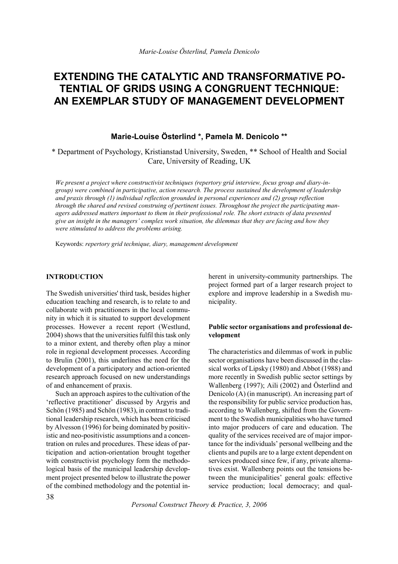# **EXTENDING THE CATALYTIC AND TRANSFORMATIVE PO-TENTIAL OF GRIDS USING A CONGRUENT TECHNIQUE: AN EXEMPLAR STUDY OF MANAGEMENT DEVELOPMENT**

# **Marie-Louise Österlind \*, Pamela M. Denicolo \*\***

\* Department of Psychology, Kristianstad University, Sweden, \*\* School of Health and Social Care, University of Reading, UK

*We present a project where constructivist techniques (repertory grid interview, focus group and diary-ingroup) were combined in participative, action research. The process sustained the development of leadership and praxis through (1) individual reflection grounded in personal experiences and (2) group reflection through the shared and revised construing of pertinent issues. Throughout the project the participating managers addressed matters important to them in their professional role. The short extracts of data presented give an insight in the managers' complex work situation, the dilemmas that they are facing and how they were stimulated to address the problems arising.*

Keywords: *repertory grid technique, diary, management development* 

## **INTRODUCTION**

The Swedish universities' third task, besides higher education teaching and research, is to relate to and collaborate with practitioners in the local community in which it is situated to support development processes. However a recent report (Westlund, 2004) shows that the universities fulfil this task only to a minor extent, and thereby often play a minor role in regional development processes. According to Brulin (2001), this underlines the need for the development of a participatory and action-oriented research approach focused on new understandings of and enhancement of praxis.

Such an approach aspires to the cultivation of the 'reflective practitioner' discussed by Argyris and Schön (1985) and Schön (1983), in contrast to traditional leadership research, which has been criticised by Alvesson (1996) for being dominated by positivistic and neo-positivistic assumptions and a concentration on rules and procedures. These ideas of participation and action-orientation brought together with constructivist psychology form the methodological basis of the municipal leadership development project presented below to illustrate the power of the combined methodology and the potential inherent in university-community partnerships. The project formed part of a larger research project to explore and improve leadership in a Swedish municipality.

## **Public sector organisations and professional development**

The characteristics and dilemmas of work in public sector organisations have been discussed in the classical works of Lipsky (1980) and Abbot (1988) and more recently in Swedish public sector settings by Wallenberg (1997); Aili (2002) and Österlind and Denicolo (A) (in manuscript). An increasing part of the responsibility for public service production has, according to Wallenberg, shifted from the Government to the Swedish municipalities who have turned into major producers of care and education. The quality of the services received are of major importance for the individuals' personal wellbeing and the clients and pupils are to a large extent dependent on services produced since few, if any, private alternatives exist. Wallenberg points out the tensions between the municipalities' general goals: effective service production; local democracy; and qual-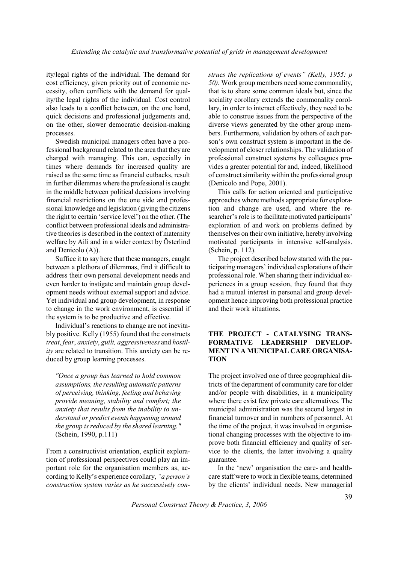ity/legal rights of the individual. The demand for cost efficiency, given priority out of economic necessity, often conflicts with the demand for quality/the legal rights of the individual. Cost control also leads to a conflict between, on the one hand, quick decisions and professional judgements and, on the other, slower democratic decision-making processes.

Swedish municipal managers often have a professional background related to the area that they are charged with managing. This can, especially in times where demands for increased quality are raised as the same time as financial cutbacks, result in further dilemmas where the professional is caught in the middle between political decisions involving financial restrictions on the one side and professional knowledge and legislation (giving the citizens the right to certain 'service level') on the other. (The conflict between professional ideals and administrative theories is described in the context of maternity welfare by Aili and in a wider context by Österlind and Denicolo (A)).

Suffice it to say here that these managers, caught between a plethora of dilemmas, find it difficult to address their own personal development needs and even harder to instigate and maintain group development needs without external support and advice. Yet individual and group development, in response to change in the work environment, is essential if the system is to be productive and effective.

Individual's reactions to change are not inevitably positive. Kelly (1955) found that the constructs *treat*, *fear*, *anxiety*, *guilt, aggressiveness* and *hostility* are related to transition. This anxiety can be reduced by group learning processes.

*"Once a group has learned to hold common assumptions, the resulting automatic patterns of perceiving, thinking, feeling and behaving provide meaning, stability and comfort; the anxiety that results from the inability to understand or predict events happening around the group is reduced by the shared learning."* (Schein, 1990, p.111)

From a constructivist orientation, explicit exploration of professional perspectives could play an important role for the organisation members as, according to Kelly's experience corollary, *"a person's construction system varies as he successively con-* *strues the replications of events" (Kelly, 1955: p 50).* Work group members need some commonality, that is to share some common ideals but, since the sociality corollary extends the commonality corollary, in order to interact effectively, they need to be able to construe issues from the perspective of the diverse views generated by the other group members. Furthermore, validation by others of each person's own construct system is important in the development of closer relationships. The validation of professional construct systems by colleagues provides a greater potential for and, indeed, likelihood of construct similarity within the professional group (Denicolo and Pope, 2001).

This calls for action oriented and participative approaches where methods appropriate for exploration and change are used, and where the researcher's role is to facilitate motivated participants' exploration of and work on problems defined by themselves on their own initiative, hereby involving motivated participants in intensive self-analysis. (Schein, p. 112).

The project described below started with the participating managers' individual explorations of their professional role. When sharing their individual experiences in a group session, they found that they had a mutual interest in personal and group development hence improving both professional practice and their work situations.

## **THE PROJECT - CATALYSING TRANS-FORMATIVE LEADERSHIP DEVELOP-MENT IN A MUNICIPAL CARE ORGANISA-TION**

The project involved one of three geographical districts of the department of community care for older and/or people with disabilities, in a municipality where there exist few private care alternatives. The municipal administration was the second largest in financial turnover and in numbers of personnel. At the time of the project, it was involved in organisational changing processes with the objective to improve both financial efficiency and quality of service to the clients, the latter involving a quality guarantee.

In the 'new' organisation the care- and healthcare staff were to work in flexible teams, determined by the clients' individual needs. New managerial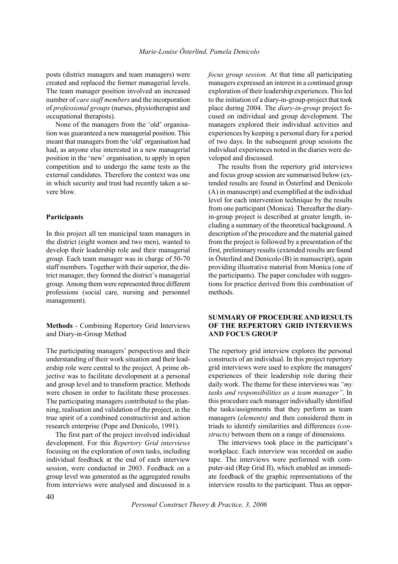posts (district managers and team managers) were created and replaced the former managerial levels. The team manager position involved an increased number of *care staff members* and the incorporation of *professional groups* (nurses, physiotherapist and occupational therapists).

None of the managers from the 'old' organisation was guaranteed a new managerial position. This meant that managers from the 'old' organisation had had, as anyone else interested in a new managerial position in the 'new' organisation, to apply in open competition and to undergo the same tests as the external candidates. Therefore the context was one in which security and trust had recently taken a severe blow.

## **Participants**

In this project all ten municipal team managers in the district (eight women and two men), wanted to develop their leadership role and their managerial group. Each team manager was in charge of 50-70 staff members. Together with their superior, the district manager, they formed the district's managerial group. Among them were represented three different professions (social care, nursing and personnel management).

**Methods** - Combining Repertory Grid Interviews and Diary-in-Group Method

The participating managers' perspectives and their understanding of their work situation and their leadership role were central to the project. A prime objective was to facilitate development at a personal and group level and to transform practice. Methods were chosen in order to facilitate these processes. The participating managers contributed to the planning, realisation and validation of the project, in the true spirit of a combined constructivist and action research enterprise (Pope and Denicolo, 1991).

The first part of the project involved individual development. For this *Repertory Grid interviews* focusing on the exploration of own tasks, including individual feedback at the end of each interview session, were conducted in 2003. Feedback on a group level was generated as the aggregated results from interviews were analysed and discussed in a *focus group session.* At that time all participating managers expressed an interest in a continued group exploration of their leadership experiences. This led to the initiation of a diary-in-group-project that took place during 2004. The *diary-in-group* project focused on individual and group development. The managers explored their individual activities and experiences by keeping a personal diary for a period of two days. In the subsequent group sessions the individual experiences noted in the diaries were developed and discussed.

The results from the repertory grid interviews and focus group session are summarised below (extended results are found in Österlind and Denicolo (A) in manuscript) and exemplified at the individual level for each intervention technique by the results from one participant (Monica). Thereafter the diaryin-group project is described at greater length, including a summary of the theoretical background. A description of the procedure and the material gained from the project is followed by a presentation of the first, preliminary results (extended results are found in Österlind and Denicolo (B) in manuscript), again providing illustrative material from Monica (one of the participants). The paper concludes with suggestions for practice derived from this combination of methods.

## **SUMMARY OF PROCEDURE AND RESULTS OF THE REPERTORY GRID INTERVIEWS AND FOCUS GROUP**

The repertory grid interview explores the personal constructs of an individual. In this project repertory grid interviews were used to explore the managers' experiences of their leadership role during their daily work. The theme for these interviews was *"my tasks and responsibilities as a team manager"*. In this procedure each manager individually identified the tasks/assignments that they perform as team managers (*elements)* and then considered them in triads to identify similarities and differences *(constructs)* between them on a range of dimensions.

The interviews took place in the participant's workplace. Each interview was recorded on audio tape. The interviews were performed with computer-aid (Rep Grid II), which enabled an immediate feedback of the graphic representations of the interview results to the participant. Thus an oppor-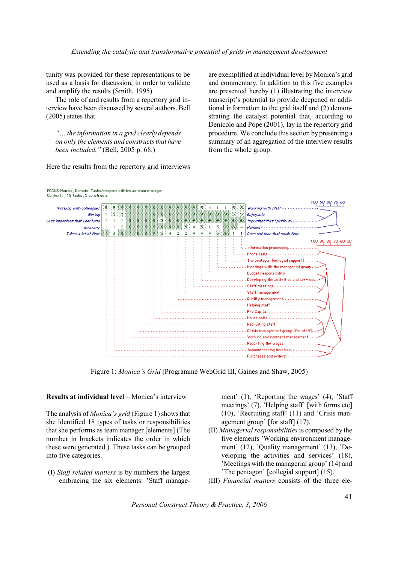#### *Extending the catalytic and transformative potential of grids in management development*

tunity was provided for these representations to be used as a basis for discussion, in order to validate and amplify the results (Smith, 1995).

The role of and results from a repertory grid interview have been discussed by several authors. Bell (2005) states that

*"… the information in a grid clearly depends on only the elements and constructs that have been included."* (Bell, 2005 p. 68.)

Here the results from the repertory grid interviews

are exemplified at individual level by Monica's grid and commentary. In addition to this five examples are presented hereby (1) illustrating the interview transcript's potential to provide deepened or additional information to the grid itself and (2) demonstrating the catalyst potential that, according to Denicolo and Pope (2001), lay in the repertory grid procedure. We conclude this section by presenting a summary of an aggregation of the interview results from the whole group.



Figure 1: *Monica's Grid* (Programme WebGrid III, Gaines and Shaw, 2005)

## **Results at individual level** – Monica's interview

The analysis of *Monica's grid* (Figure 1) shows that she identified 18 types of tasks or responsibilities that she performs as team manager [elements] (The number in brackets indicates the order in which these were generated.). These tasks can be grouped into five categories.

 (I) *Staff related matters* is by numbers the largest embracing the six elements: 'Staff management' (1), 'Reporting the wages' (4), 'Staff meetings' (7), 'Helping staff' [with forms etc] (10), 'Recruiting staff' (11) and 'Crisis management group' [for staff] (17).

- (II) *Managerial responsibilities* is composed by the five elements 'Working environment management' (12), 'Quality management' (13), 'Developing the activities and services' (18), 'Meetings with the managerial group' (14) and 'The pentagon' [collegial support] (15).
- (III) *Financial matters* consists of the three ele-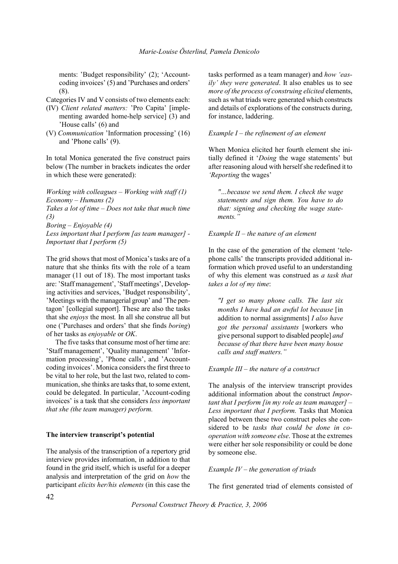ments: 'Budget responsibility' (2); 'Accountcoding invoices' (5) and 'Purchases and orders' (8).

Categories IV and V consists of two elements each:

- (IV) *Client related matters:* 'Pro Capita' [implementing awarded home-help service] (3) and 'House calls' (6) and
- (V) *Communication* 'Information processing' (16) and 'Phone calls' (9).

In total Monica generated the five construct pairs below (The number in brackets indicates the order in which these were generated):

*Working with colleagues – Working with staff (1) Economy – Humans (2) Takes a lot of time – Does not take that much time (3) Boring – Enjoyable (4) Less important that I perform [as team manager] - Important that I perform (5)* 

The grid shows that most of Monica's tasks are of a nature that she thinks fits with the role of a team manager (11 out of 18). The most important tasks are: 'Staff management', 'Staff meetings', Developing activities and services, 'Budget responsibility', 'Meetings with the managerial group' and 'The pentagon' [collegial support]. These are also the tasks that she *enjoys* the most*.* In all she construe all but one ('Purchases and orders' that she finds *boring*) of her tasks as *enjoyable* or *OK*.

The five tasks that consume most of her time are: 'Staff management', 'Quality management' 'Information processing', 'Phone calls', and 'Accountcoding invoices'. Monica considers the first three to be vital to her role, but the last two, related to communication, she thinks are tasks that, to some extent, could be delegated. In particular, 'Account-coding invoices' is a task that she considers *less important that she (the team manager) perform.* 

## **The interview transcript's potential**

The analysis of the transcription of a repertory grid interview provides information, in addition to that found in the grid itself, which is useful for a deeper analysis and interpretation of the grid on *how* the participant *elicits her/his elements* (in this case the tasks performed as a team manager) and *how 'easily' they were generated*. It also enables us to see *more of the process of construing elicited* elements, such as what triads were generated which constructs and details of explorations of the constructs during, for instance, laddering.

#### *Example I – the refinement of an element*

When Monica elicited her fourth element she initially defined it '*Doing* the wage statements' but after reasoning aloud with herself she redefined it to *'Reporting* the wages'

*"…because we send them. I check the wage statements and sign them. You have to do that: signing and checking the wage statements."*

## *Example II – the nature of an element*

In the case of the generation of the element 'telephone calls' the transcripts provided additional information which proved useful to an understanding of why this element was construed as *a task that takes a lot of my time*:

*"I get so many phone calls. The last six months I have had an awful lot because* [in addition to normal assignments] *I also have got the personal assistants* [workers who give personal support to disabled people] *and because of that there have been many house calls and staff matters."* 

*Example III – the nature of a construct* 

The analysis of the interview transcript provides additional information about the construct *Important that I perform [in my role as team manager]* – *Less important that I perform.* Tasks that Monica placed between these two construct poles she considered to be *tasks that could be done in cooperation with someone else*. Those at the extremes were either her sole responsibility or could be done by someone else.

## *Example IV – the generation of triads*

The first generated triad of elements consisted of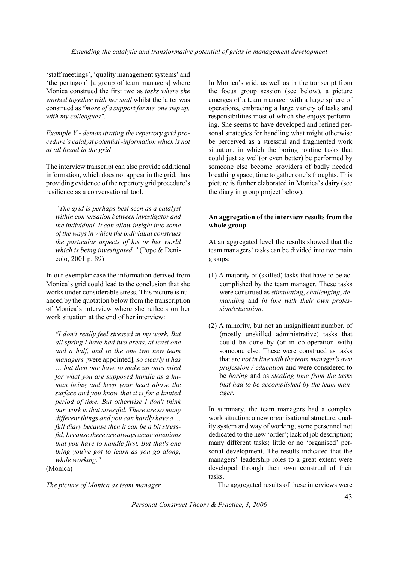'staff meetings', 'quality management systems' and 'the pentagon' [a group of team managers] where Monica construed the first two as *tasks where she worked together with her staff* whilst the latter was construed as *"more of a support for me, one step up, with my colleagues".* 

*Example V - demonstrating the repertory grid procedure's catalyst potential -information which is not at all found in the grid* 

The interview transcript can also provide additional information, which does not appear in the grid, thus providing evidence of the repertory grid procedure's resilience as a conversational tool.

*"The grid is perhaps best seen as a catalyst within conversation between investigator and the individual. It can allow insight into some of the ways in which the individual construes the particular aspects of his or her world which is being investigated."* (Pope & Denicolo, 2001 p. 89)

In our exemplar case the information derived from Monica's grid could lead to the conclusion that she works under considerable stress. This picture is nuanced by the quotation below from the transcription of Monica's interview where she reflects on her work situation at the end of her interview:

*"I don't really feel stressed in my work. But all spring I have had two areas, at least one and a half, and in the one two new team managers* [were appointed]*, so clearly it has … but then one have to make up ones mind for what you are supposed handle as a human being and keep your head above the surface and you know that it is for a limited period of time. But otherwise I don't think our work is that stressful. There are so many different things and you can hardly have a … full diary because then it can be a bit stressful, because there are always acute situations that you have to handle first. But that's one thing you've got to learn as you go along, while working."* 

(Monica)

In Monica's grid, as well as in the transcript from the focus group session (see below), a picture emerges of a team manager with a large sphere of operations, embracing a large variety of tasks and responsibilities most of which she enjoys performing. She seems to have developed and refined personal strategies for handling what might otherwise be perceived as a stressful and fragmented work situation, in which the boring routine tasks that could just as well(or even better) be performed by someone else become providers of badly needed breathing space, time to gather one's thoughts. This picture is further elaborated in Monica's dairy (see the diary in group project below).

## **An aggregation of the interview results from the whole group**

At an aggregated level the results showed that the team managers' tasks can be divided into two main groups:

- (1) A majority of (skilled) tasks that have to be accomplished by the team manager. These tasks were construed as *stimulating*, *challenging*, *demanding* and *in line with their own profession/education*.
- (2) A minority, but not an insignificant number, of (mostly unskilled administrative) tasks that could be done by (or in co-operation with) someone else. These were construed as tasks that are *not in line with the team manager's own profession / education* and were considered to be *boring* and as *stealing time from the tasks that had to be accomplished by the team manager*.

In summary, the team managers had a complex work situation: a new organisational structure, quality system and way of working; some personnel not dedicated to the new 'order'; lack of job description; many different tasks; little or no 'organised' personal development. The results indicated that the managers' leadership roles to a great extent were developed through their own construal of their tasks.

*The picture of Monica as team manager* 

The aggregated results of these interviews were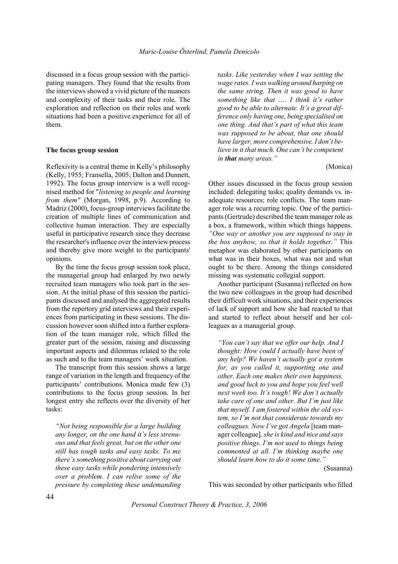discussed in a focus group session with the participating managers. They found that the results from the interviews showed a vivid picture of the nuances and complexity of their tasks and their role. The exploration and reflection on their roles and work situations had been a positive experience for all of them.

#### **The focus group session**

Reflexivity is a central theme in Kelly's philosophy (Kelly, 1955; Fransella, 2005; Dalton and Dunnett, 1992). The focus group interview is a well recognised method for "*listening to people and learning from them"* (Morgan, 1998, p.9). According to Madriz (2000), focus-group interviews facilitate the creation of multiple lines of communication and collective human interaction. They are especially useful in participative research since they decrease the researcher's influence over the interview process and thereby give more weight to the participants' opinions.

By the time the focus group session took place, the managerial group had enlarged by two newly recruited team managers who took part in the session. At the initial phase of this session the participants discussed and analysed the aggregated results from the repertory grid interviews and their experiences from participating in these sessions. The discussion however soon shifted into a further exploration of the team manager role, which filled the greater part of the session, raising and discussing important aspects and dilemmas related to the role as such and to the team managers' work situation.

The transcript from this session shows a large range of variation in the length and frequency of the participants' contributions. Monica made few (3) contributions to the focus group session. In her longest entry she reflects over the diversity of her tasks:

*"Not being responsible for a large building any longer, on the one hand it's less strenuous and that feels great, but on the other one still has tough tasks and easy tasks. To me there's something positive about carrying out these easy tasks while pondering intensively over a problem. I can relive some of the pressure by completing these undemanding* 

*tasks. Like yesterday when I was setting the wage rates. I was walking around harping on the same string. Then it was good to have something like that …. I think it's rather good to be able to alternate. It's a great difference only having one, being specialised on one thing. And that's part of what this team was supposed to be about, that one should have larger, more comprehensive. I don't believe in it that much. One can't be competent in that many areas."* 

#### (Monica)

Other issues discussed in the focus group session included: delegating tasks; quality demands vs. inadequate resources; role conflicts. The team manager role was a recurring topic. One of the participants (Gertrude) described the team manager role as a box, a framework, within which things happens. *"One way or another you are supposed to stay in the box anyhow, so that it holds together."* This metaphor was elaborated by other participants on what was in their boxes, what was not and what ought to be there. Among the things considered missing was systematic collegial support.

Another participant (Susanna) reflected on how the two new colleagues in the group had described their difficult work situations, and their experiences of lack of support and how she had reacted to that and started to reflect about herself and her colleagues as a managerial group.

*"You can't say that we offer our help. And I thought: How could I actually have been of any help? We haven't actually got a system for, as you called it, supporting one and other. Each one makes their own happiness, and good luck to you and hope you feel well next week too. It's tough! We don't actually take care of one and other. But I'm just like that myself. I am fostered within the old system, so I'm not that considerate towards my colleagues. Now I've got Angela* [team manager colleague]*, she is kind and nice and says positive things. I'm not used to things being commented at all. I'm thinking maybe one should learn how to do it some time."*

(Susanna)

This was seconded by other participants who filled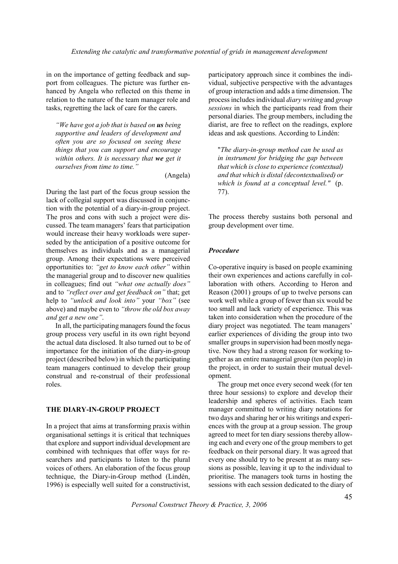in on the importance of getting feedback and support from colleagues. The picture was further enhanced by Angela who reflected on this theme in relation to the nature of the team manager role and tasks, regretting the lack of care for the carers.

*"We have got a job that is based on us being supportive and leaders of development and often you are so focused on seeing these things that you can support and encourage within others. It is necessary that we get it ourselves from time to time."* 

(Angela)

During the last part of the focus group session the lack of collegial support was discussed in conjunction with the potential of a diary-in-group project. The pros and cons with such a project were discussed. The team managers' fears that participation would increase their heavy workloads were superseded by the anticipation of a positive outcome for themselves as individuals and as a managerial group. Among their expectations were perceived opportunities to: *"get to know each other"* within the managerial group and to discover new qualities in colleagues; find out *"what one actually does"* and to *"reflect over and get feedback on"* that; get help to *"unlock and look into"* your *"box"* (see above) and maybe even to *"throw the old box away and get a new one"*.

In all, the participating managers found the focus group process very useful in its own right beyond the actual data disclosed. It also turned out to be of importance for the initiation of the diary-in-group project (described below) in which the participating team managers continued to develop their group construal and re-construal of their professional roles.

## **THE DIARY-IN-GROUP PROJECT**

In a project that aims at transforming praxis within organisational settings it is critical that techniques that explore and support individual development are combined with techniques that offer ways for researchers and participants to listen to the plural voices of others. An elaboration of the focus group technique, the Diary-in-Group method (Lindén, 1996) is especially well suited for a constructivist, participatory approach since it combines the individual, subjective perspective with the advantages of group interaction and adds a time dimension. The process includes individual *diary writing* and *group sessions* in which the participants read from their personal diaries. The group members, including the diarist, are free to reflect on the readings, explore ideas and ask questions. According to Lindén:

"*The diary-in-group method can be used as in instrument for bridging the gap between that which is close to experience (contextual) and that which is distal (decontextualised) or which is found at a conceptual level."* (p. 77).

The process thereby sustains both personal and group development over time.

#### *Procedure*

Co-operative inquiry is based on people examining their own experiences and actions carefully in collaboration with others. According to Heron and Reason (2001) groups of up to twelve persons can work well while a group of fewer than six would be too small and lack variety of experience. This was taken into consideration when the procedure of the diary project was negotiated. The team managers' earlier experiences of dividing the group into two smaller groups in supervision had been mostly negative. Now they had a strong reason for working together as an entire managerial group (ten people) in the project, in order to sustain their mutual development.

The group met once every second week (for ten three hour sessions) to explore and develop their leadership and spheres of activities. Each team manager committed to writing diary notations for two days and sharing her or his writings and experiences with the group at a group session. The group agreed to meet for ten diary sessions thereby allowing each and every one of the group members to get feedback on their personal diary. It was agreed that every one should try to be present at as many sessions as possible, leaving it up to the individual to prioritise. The managers took turns in hosting the sessions with each session dedicated to the diary of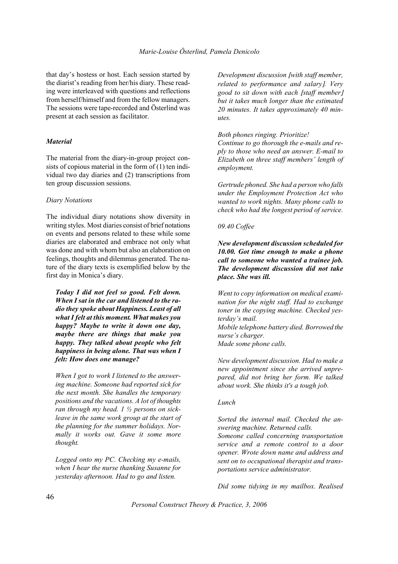that day's hostess or host. Each session started by the diarist's reading from her/his diary. These reading were interleaved with questions and reflections from herself/himself and from the fellow managers. The sessions were tape-recorded and Österlind was present at each session as facilitator.

## *Material*

The material from the diary-in-group project consists of copious material in the form of  $(1)$  ten individual two day diaries and (2) transcriptions from ten group discussion sessions.

#### *Diary Notations*

The individual diary notations show diversity in writing styles. Most diaries consist of brief notations on events and persons related to these while some diaries are elaborated and embrace not only what was done and with whom but also an elaboration on feelings, thoughts and dilemmas generated. The nature of the diary texts is exemplified below by the first day in Monica's diary.

*Today I did not feel so good. Felt down. When I sat in the car and listened to the radio they spoke about Happiness. Least of all what I felt at this moment. What makes you happy? Maybe to write it down one day, maybe there are things that make you happy. They talked about people who felt happiness in being alone. That was when I felt: How does one manage?* 

*When I got to work I listened to the answering machine. Someone had reported sick for the next month. She handles the temporary positions and the vacations. A lot of thoughts ran through my head. 1 ½ persons on sickleave in the same work group at the start of the planning for the summer holidays. Normally it works out. Gave it some more thought.* 

*Logged onto my PC. Checking my e-mails, when I hear the nurse thanking Susanne for yesterday afternoon. Had to go and listen.* 

*Development discussion* [*with staff member, related to performance and salary*]*. Very good to sit down with each* [*staff member*] *but it takes much longer than the estimated 20 minutes. It takes approximately 40 minutes.* 

#### *Both phones ringing. Prioritize!*

*Continue to go thorough the e-mails and reply to those who need an answer. E-mail to Elizabeth on three staff members' length of employment.* 

*Gertrude phoned. She had a person who falls under the Employment Protection Act who wanted to work nights. Many phone calls to check who had the longest period of service.* 

*09.40 Coffee* 

*New development discussion scheduled for 10.00. Got time enough to make a phone call to someone who wanted a trainee job. The development discussion did not take place. She was ill.* 

*Went to copy information on medical examination for the night staff. Had to exchange toner in the copying machine. Checked yesterday's mail. Mobile telephone battery died. Borrowed the nurse's charger. Made some phone calls.* 

*New development discussion. Had to make a new appointment since she arrived unprepared, did not bring her form. We talked about work. She thinks it's a tough job.* 

## *Lunch*

*Sorted the internal mail. Checked the answering machine. Returned calls.* 

*Someone called concerning transportation service and a remote control to a door opener. Wrote down name and address and sent on to occupational therapist and transportations service administrator.* 

*Did some tidying in my mailbox. Realised*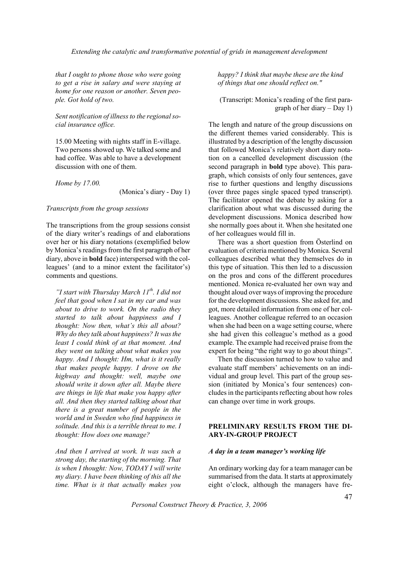*that I ought to phone those who were going to get a rise in salary and were staying at home for one reason or another. Seven people. Got hold of two.* 

*Sent notification of illness to the regional social insurance office.* 

15.00 Meeting with nights staff in E-village. Two persons showed up. We talked some and had coffee. Was able to have a development discussion with one of them.

*Home by 17.00.* 

(Monica's diary - Day 1)

## *Transcripts from the group sessions*

The transcriptions from the group sessions consist of the diary writer's readings of and elaborations over her or his diary notations (exemplified below by Monica's readings from the first paragraph of her diary, above in **bold** face) interspersed with the colleagues' (and to a minor extent the facilitator's) comments and questions.

*"I start with Thursday March 11th. I did not feel that good when I sat in my car and was about to drive to work. On the radio they started to talk about happiness and I thought: Now then, what's this all about? Why do they talk about happiness? It was the least I could think of at that moment. And they went on talking about what makes you happy. And I thought: Hm, what is it really that makes people happy. I drove on the highway and thought: well, maybe one should write it down after all. Maybe there are things in life that make you happy after all. And then they started talking about that there is a great number of people in the world and in Sweden who find happiness in solitude. And this is a terrible threat to me. I thought: How does one manage?* 

*And then I arrived at work. It was such a strong day, the starting of the morning. That is when I thought: Now, TODAY I will write my diary. I have been thinking of this all the time. What is it that actually makes you*  *happy? I think that maybe these are the kind of things that one should reflect on."* 

(Transcript: Monica's reading of the first paragraph of her diary – Day 1)

The length and nature of the group discussions on the different themes varied considerably. This is illustrated by a description of the lengthy discussion that followed Monica's relatively short diary notation on a cancelled development discussion (the second paragraph in **bold** type above). This paragraph, which consists of only four sentences, gave rise to further questions and lengthy discussions (over three pages single spaced typed transcript). The facilitator opened the debate by asking for a clarification about what was discussed during the development discussions. Monica described how she normally goes about it. When she hesitated one of her colleagues would fill in.

There was a short question from Österlind on evaluation of criteria mentioned by Monica. Several colleagues described what they themselves do in this type of situation. This then led to a discussion on the pros and cons of the different procedures mentioned. Monica re-evaluated her own way and thought aloud over ways of improving the procedure for the development discussions. She asked for, and got, more detailed information from one of her colleagues. Another colleague referred to an occasion when she had been on a wage setting course, where she had given this colleague's method as a good example. The example had received praise from the expert for being "the right way to go about things".

Then the discussion turned to how to value and evaluate staff members' achievements on an individual and group level. This part of the group session (initiated by Monica's four sentences) concludes in the participants reflecting about how roles can change over time in work groups.

## **PRELIMINARY RESULTS FROM THE DI-ARY-IN-GROUP PROJECT**

## *A day in a team manager's working life*

An ordinary working day for a team manager can be summarised from the data. It starts at approximately eight o'clock, although the managers have fre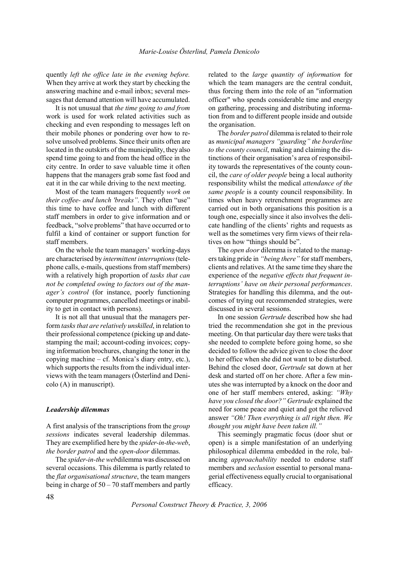quently *left the office late in the evening before.* When they arrive at work they start by checking the answering machine and e-mail inbox; several messages that demand attention will have accumulated.

It is not unusual that *the time going to and from* work is used for work related activities such as checking and even responding to messages left on their mobile phones or pondering over how to resolve unsolved problems. Since their units often are located in the outskirts of the municipality, they also spend time going to and from the head office in the city centre. In order to save valuable time it often happens that the managers grab some fast food and eat it in the car while driving to the next meeting.

Most of the team managers frequently *work on their coffee- and lunch 'breaks"*. They often "use" this time to have coffee and lunch with different staff members in order to give information and or feedback, "solve problems" that have occurred or to fulfil a kind of container or support function for staff members.

On the whole the team managers' working-days are characterised by *intermittent interruptions* (telephone calls, e-mails, questions from staff members) with a relatively high proportion of *tasks that can not be completed owing to factors out of the manager's control* (for instance, poorly functioning computer programmes, cancelled meetings or inability to get in contact with persons).

It is not all that unusual that the managers perform *tasks that are relatively unskilled*, in relation to their professional competence (picking up and datestamping the mail; account-coding invoices; copying information brochures, changing the toner in the copying machine – cf. Monica's diary entry, etc.), which supports the results from the individual interviews with the team managers (Österlind and Denicolo (A) in manuscript).

#### *Leadership dilemmas*

A first analysis of the transcriptions from the *group sessions* indicates several leadership dilemmas. They are exemplified here by the *spider-in-the-web*, *the border patrol* and the *open-door* dilemmas.

The *spider-in-the web*dilemma was discussed on several occasions. This dilemma is partly related to the *flat organisational structure*, the team mangers being in charge of  $50 - 70$  staff members and partly related to the *large quantity of information* for which the team managers are the central conduit, thus forcing them into the role of an "information officer" who spends considerable time and energy on gathering, processing and distributing information from and to different people inside and outside the organisation.

The *border patrol* dilemma is related to their role as *municipal managers "guarding" the borderline to the county council*, making and claiming the distinctions of their organisation's area of responsibility towards the representatives of the county council, the *care of older people* being a local authority responsibility whilst the medical *attendance of the same people* is a county council responsibility. In times when heavy retrenchment programmes are carried out in both organisations this position is a tough one, especially since it also involves the delicate handling of the clients' rights and requests as well as the sometimes very firm views of their relatives on how "things should be".

The *open door* dilemma is related to the managers taking pride in *"being there"* for staff members, clients and relatives. At the same time they share the experience of the *negative effects that frequent interruptions' have on their personal performances*. Strategies for handling this dilemma, and the outcomes of trying out recommended strategies, were discussed in several sessions.

In one session *Gertrude* described how she had tried the recommendation she got in the previous meeting. On that particular day there were tasks that she needed to complete before going home, so she decided to follow the advice given to close the door to her office when she did not want to be disturbed. Behind the closed door, *Gertrude* sat down at her desk and started off on her chore. After a few minutes she was interrupted by a knock on the door and one of her staff members entered, asking: *"Why have you closed the door?" Gertrude* explained the need for some peace and quiet and got the relieved answer *"Oh! Then everything is all right then. We thought you might have been taken ill."* 

This seemingly pragmatic focus (door shut or open) is a simple manifestation of an underlying philosophical dilemma embedded in the role, balancing *approachability* needed to endorse staff members and *seclusion* essential to personal managerial effectiveness equally crucial to organisational efficacy.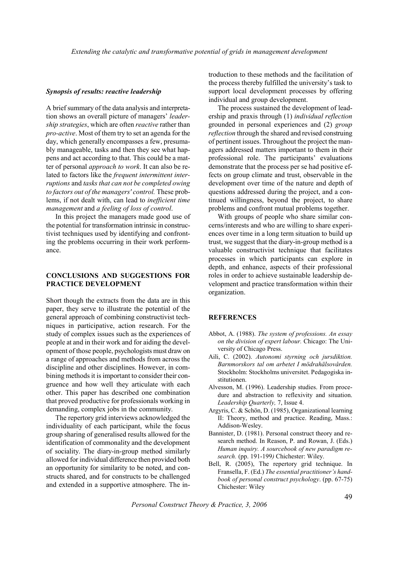#### *Synopsis of results: reactive leadership*

A brief summary of the data analysis and interpretation shows an overall picture of managers' *leadership strategies*, which are often *reactive* rather than *pro-active*. Most of them try to set an agenda for the day, which generally encompasses a few, presumably manageable, tasks and then they see what happens and act according to that. This could be a matter of personal *approach to work*. It can also be related to factors like the *frequent intermittent interruptions* and *tasks that can not be completed owing to factors out of the managers' control.* These problems, if not dealt with, can lead to *inefficient time management* and *a feeling of loss of control*.

In this project the managers made good use of the potential for transformation intrinsic in constructivist techniques used by identifying and confronting the problems occurring in their work performance.

# **CONCLUSIONS AND SUGGESTIONS FOR PRACTICE DEVELOPMENT**

Short though the extracts from the data are in this paper, they serve to illustrate the potential of the general approach of combining constructivist techniques in participative, action research. For the study of complex issues such as the experiences of people at and in their work and for aiding the development of those people, psychologists must draw on a range of approaches and methods from across the discipline and other disciplines. However, in combining methods it is important to consider their congruence and how well they articulate with each other. This paper has described one combination that proved productive for professionals working in demanding, complex jobs in the community.

The repertory grid interviews acknowledged the individuality of each participant, while the focus group sharing of generalised results allowed for the identification of commonality and the development of sociality. The diary-in-group method similarly allowed for individual difference then provided both an opportunity for similarity to be noted, and constructs shared, and for constructs to be challenged and extended in a supportive atmosphere. The introduction to these methods and the facilitation of the process thereby fulfilled the university's task to support local development processes by offering individual and group development.

The process sustained the development of leadership and praxis through (1) *individual reflection* grounded in personal experiences and (2) *group reflection* through the shared and revised construing of pertinent issues. Throughout the project the managers addressed matters important to them in their professional role. The participants' evaluations demonstrate that the process per se had positive effects on group climate and trust, observable in the development over time of the nature and depth of questions addressed during the project, and a continued willingness, beyond the project, to share problems and confront mutual problems together.

With groups of people who share similar concerns/interests and who are willing to share experiences over time in a long term situation to build up trust, we suggest that the diary-in-group method is a valuable constructivist technique that facilitates processes in which participants can explore in depth, and enhance, aspects of their professional roles in order to achieve sustainable leadership development and practice transformation within their organization.

## **REFERENCES**

- Abbot, A. (1988). *The system of professions. An essay on the division of expert labour.* Chicago: The University of Chicago Press.
- Aili, C. (2002). *Autonomi styrning och jursdiktion. Barnmorskors tal om arbetet I mödrahälsovården.*  Stockholm: Stockholms universitet. Pedagogiska institutionen.
- Alvesson, M. (1996). Leadership studies. From procedure and abstraction to reflexivity and situation. *Leadership Quarterly,* 7, Issue 4.
- Argyris, C. & Schön, D. (1985), Organizational learning II: Theory, method and practice. Reading, Mass.: Addison-Wesley.
- Bannister, D. (1981). Personal construct theory and research method. In Reason, P. and Rowan, J. (Eds.) *Human inquiry. A sourcebook of new paradigm research.* (pp. 191-199*)* Chichester: Wiley.
- Bell, R. (2005), The repertory grid technique. In Fransella, F. (Ed.) *The essential practitioner's handbook of personal construct psychology*. (pp. 67-75) Chichester: Wiley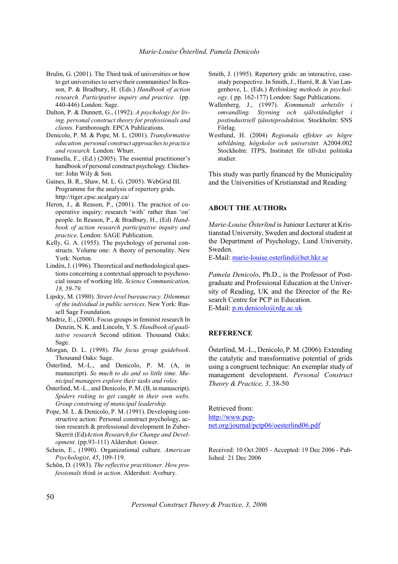- Brulin, G. (2001). The Third task of universities or how to get universities to serve their communities! In Reason, P. & Bradbury, H. (Eds.) *Handbook of action research. Participative inquiry and practice.* (pp. 440-446) London: Sage.
- Dalton, P. & Dunnett, G., (1992). *A psychology for living. personal construct theory for professionals and clients.* Farnborough: EPCA Publications*.*
- Denicolo, P. M. & Pope, M. L. (2001). *Transformative education. personal construct approaches to practice and research.* London: Whurr.
- Fransella, F., (Ed.) (2005). The essential practitioner's handbook of personal construct psychology. Chichester: John Wily & Son.
- Gaines, B. R., Shaw, M. L. G. (2005). WebGrid III. Programme for the analysis of repertory grids. http://tiger.cpsc.ucalgary.ca/
- Heron, J., & Reason, P., (2001). The practice of cooperative inquiry: research 'with' rather than 'on' people. In Reason, P., & Bradbury, H., (Ed) *Handbook of action research participative inquiry and practice*. London: SAGE Publication.
- Kelly, G. A. (1955). The psychology of personal constructs. Volume one: A theory of personality. New York: Norton.
- Lindén, J. (1996). Theoretical and methodological questions concerning a contextual approach to psychosocial issues of working life. *Science Communication, 18, 59-79.*
- Lipsky, M. (1980). *Street-level bureaucracy. Dilemmas of the individual in public services*. New York: Russell Sage Foundation.
- Madriz, E., (2000). Focus groups in feminist research In Denzin, N. K. and Lincoln, Y. S. *Handbook of qualitative research* Second edition. Thousand Oaks: Sage.
- Morgan, D. L. (1998). *The focus group guidebook*. Thousand Oaks: Sage.
- Österlind, M.-L., and Denicolo, P. M. (A, in manuscript). *So much to do and so little time. Municipal managers explore their tasks and roles.*
- Österlind, M.-L., and Denicolo, P. M. (B, in manuscript). *Spiders risking to get caught in their own webs. Group construing of municipal leadership.*
- Pope, M. L. & Denicolo, P. M. (1991). Developing constructive action: Personal construct psychology, action research & professional development In Zuber-Skerrit (Ed)*Action Research for Change and Development.* (pp.93-111) Aldershot: Gower.
- Schein, E., (1990). Organizational culture. *American Psychologist*, *45*, 109-119.
- Schön, D. (1983). *The reflective practitioner*. *How professionals think in action*. Aldershot: Avebury.
- Smith, J. (1995). Repertory grids: an interactive, casestudy perspective. In Smith, J., Harré, R. & Van Langenhove, L. (Eds.) *Rethinking methods in psychology.* ( pp. 162-177) London: Sage Publications.
- Wallenberg, J., (1997). *Kommunalt arbetsliv i omvandling. Styrning och självständighet i postindustriell tjänsteproduktion.* Stockholm: SNS Förlag.
- Westlund, H. (2004) *Regionala effekter av högre utbildning, högskolor och universitet.* A2004:002 Stockholm: ITPS, Institutet för tillväxt politiska studier.

This study was partly financed by the Municipality and the Universities of Kristianstad and Reading

## **ABOUT THE AUTHORs**

*Marie-Louise Österlind* is Juniour Lecturer at Kristianstad University, Sweden and doctoral student at the Department of Psychology, Lund University, Sweden.

E-Mail: marie-louise.osterlind@bet.hkr.se

*Pamela Denicolo*, Ph.D., is the Professor of Postgraduate and Professional Education at the University of Reading, UK and the Director of the Research Centre for PCP in Education.

E-Mail: p.m.denicolo@rdg.ac.uk

# **REFERENCE**

Österlind, M.-L., Denicolo, P. M. (2006). Extending the catalytic and transformative potential of grids using a congruent technique: An exemplar study of management development. *Personal Construct Theory & Practice, 3,* 38-50

Retrieved from:

http://www.pcpnet.org/journal/pctp06/oesterlind06.pdf

Received: 10 Oct 2005 *-* Accepted: 19 Dec 2006 - Published*:* 21 Dec 2006